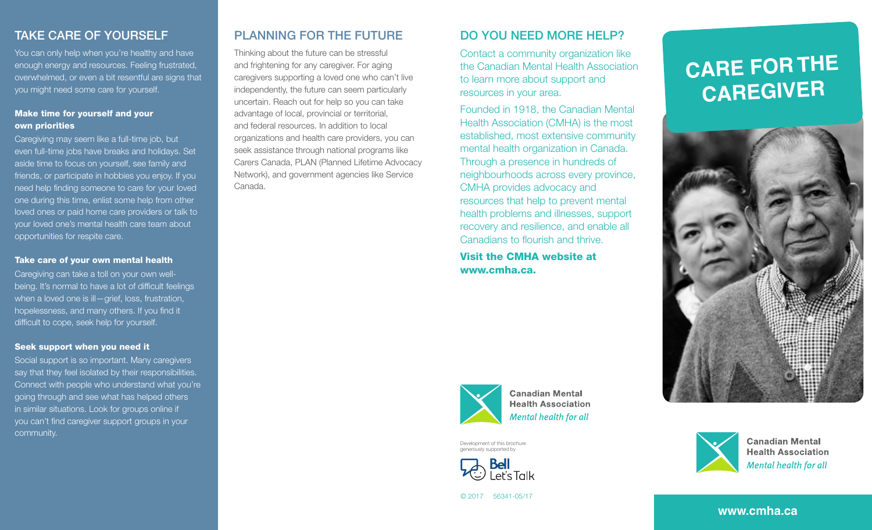## TAKE CARE OF YOURSELF

You can only help when you're healthy and have enough energy and resources. Feeling frustrated, overwhelmed, or even a bit resentful are signs that you might need some care for yourself.

### Make time for yourself and your own priorities

Caregiving may seem like a full-time job, but even full-time jobs have breaks and holidays. Set aside time to focus on yourself, see family and friends, or participate in hobbies you enjoy. If you need help finding someone to care for your loved one during this time, enlist some help from other loved ones or paid home care providers or talk to your loved one's mental health care team about opportunities for respite care.

### Take care of your own mental health

Caregiving can take a toll on your own wellbeing. It's normal to have a lot of difficult feelings when a loved one is ill-grief, loss, frustration, hopelessness, and many others. If you find it difficult to cope, seek help for yourself.

#### Seek support when you need it

Social support is so important. Many caregivers say that they feel isolated by their responsibilities. Connect with people who understand what you're going through and see what has helped others in similar situations. Look for groups online if you can't find caregiver support groups in your community.

## PLANNING FOR THE FUTURE

Thinking about the future can be stressful and frightening for any caregiver. For aging caregivers supporting a loved one who can't live independently, the future can seem particularly uncertain. Reach out for help so you can take advantage of local, provincial or territorial, and federal resources. In addition to local organizations and health care providers, you can seek assistance through national programs like Carers Canada, PLAN (Planned Lifetime Advocacy Network), and government agencies like Service Canada.

## DO YOU NEED MORE HELP?

Contact a community organization like the Canadian Mental Health Association to learn more about support and resources in your area.

Founded in 1918, the Canadian Mental Health Association (CMHA) is the most established, most extensive community mental health organization in Canada. Through a presence in hundreds of neighbourhoods across every province, CMHA provides advocacy and resources that help to prevent mental health problems and illnesses, support recovery and resilience, and enable all Canadians to flourish and thrive.

Visit the CMHA website at www.cmha.ca.



**Health Association Mental health for all** 

Development of this brochure generously supported by



**CARE FOR THE CAREGIVER**





**Canadian Mental Health Association** Mental health for all

```
© 2017 56341-05/17
```